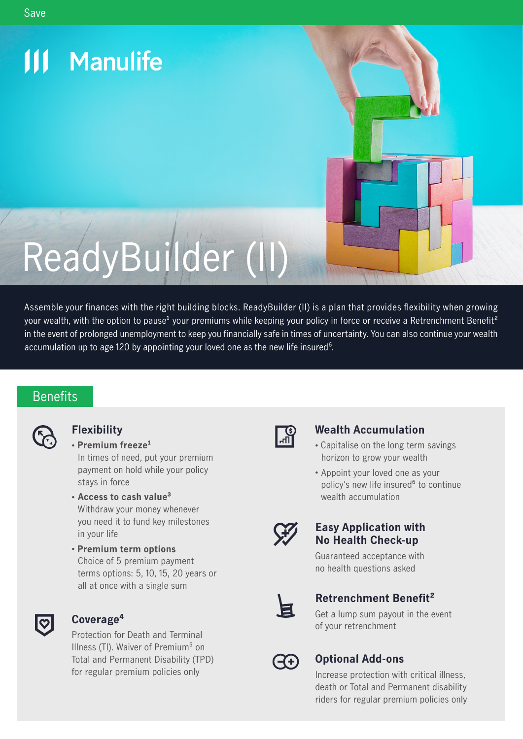# **111 Manulife** ReadyBuilder (II)

Assemble your finances with the right building blocks. ReadyBuilder (II) is a plan that provides flexibility when growing your wealth, with the option to pause<sup>1</sup> your premiums while keeping your policy in force or receive a Retrenchment Benefit<sup>2</sup> in the event of prolonged unemployment to keep you financially safe in times of uncertainty. You can also continue your wealth accumulation up to age 120 by appointing your loved one as the new life insured<sup>6</sup>.

# **Benefits**



# **Flexibility**

- **Premium freeze<sup>1</sup>**  In times of need, put your premium payment on hold while your policy stays in force
- **Access to cash value³** Withdraw your money whenever you need it to fund key milestones in your life
- **Premium term options** Choice of 5 premium payment terms options: 5, 10, 15, 20 years or all at once with a single sum



# **Coverage4**

Protection for Death and Terminal Illness (TI). Waiver of Premium<sup>5</sup> on Total and Permanent Disability (TPD) for regular premium policies only



# **Wealth Accumulation**

- Capitalise on the long term savings horizon to grow your wealth
- Appoint your loved one as your policy's new life insured<sup>6</sup> to continue wealth accumulation



# **Easy Application with No Health Check-up**



Guaranteed acceptance with no health questions asked

# **Retrenchment Benet²**

Get a lump sum payout in the event of your retrenchment



# **Optional Add-ons**

Increase protection with critical illness, death or Total and Permanent disability riders for regular premium policies only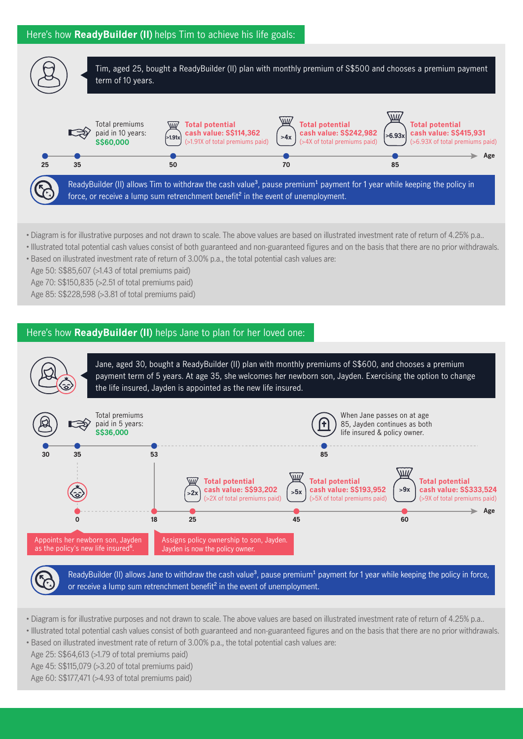



- Diagram is for illustrative purposes and not drawn to scale. The above values are based on illustrated investment rate of return of 4.25% p.a..
- Illustrated total potential cash values consist of both guaranteed and non-guaranteed gures and on the basis that there are no prior withdrawals.
- Based on illustrated investment rate of return of 3.00% p.a., the total potential cash values are:

Age 50: S\$85,607 (>1.43 of total premiums paid)

Age 70: S\$150,835 (>2.51 of total premiums paid)

Age 85: S\$228,598 (>3.81 of total premiums paid)

# Here's how **ReadyBuilder (II)** helps Jane to plan for her loved one:



ReadyBuilder (II) allows Jane to withdraw the cash value<sup>3</sup>, pause premium<sup>1</sup> payment for 1 year while keeping the policy in force, or receive a lump sum retrenchment benefit<sup>2</sup> in the event of unemployment.

- Diagram is for illustrative purposes and not drawn to scale. The above values are based on illustrated investment rate of return of 4.25% p.a..
- Illustrated total potential cash values consist of both guaranteed and non-guaranteed figures and on the basis that there are no prior withdrawals.
- Based on illustrated investment rate of return of 3.00% p.a., the total potential cash values are:
- Age 25: S\$64,613 (>1.79 of total premiums paid)

Age 45: S\$115,079 (>3.20 of total premiums paid)

Age 60: S\$177,471 (>4.93 of total premiums paid)